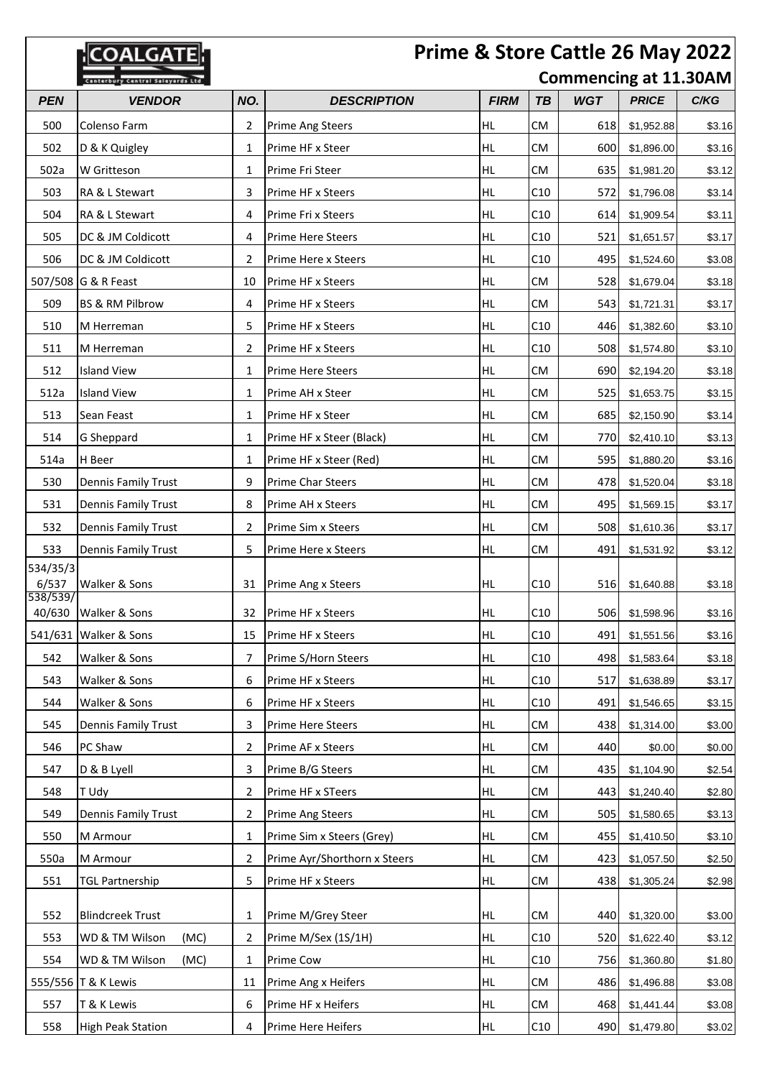|                   | Prime & Store Cattle 26 May 2022<br>:OALGATE |     |                              |             |                              |            |              |        |
|-------------------|----------------------------------------------|-----|------------------------------|-------------|------------------------------|------------|--------------|--------|
|                   | <b>Canterbury Central Saleyards Ltd</b>      |     |                              |             | <b>Commencing at 11.30AM</b> |            |              |        |
| <b>PEN</b>        | <b>VENDOR</b>                                | NO. | <b>DESCRIPTION</b>           | <b>FIRM</b> | <b>TB</b>                    | <b>WGT</b> | <b>PRICE</b> | C/KG   |
| 500               | Colenso Farm                                 | 2   | Prime Ang Steers             | HL          | <b>CM</b>                    | 618        | \$1,952.88   | \$3.16 |
| 502               | D & K Quigley                                | 1   | Prime HF x Steer             | <b>HL</b>   | <b>CM</b>                    | 600        | \$1,896.00   | \$3.16 |
| 502a              | W Gritteson                                  | 1   | Prime Fri Steer              | <b>HL</b>   | <b>CM</b>                    | 635        | \$1,981.20   | \$3.12 |
| 503               | RA & L Stewart                               | 3   | Prime HF x Steers            | HL          | C10                          | 572        | \$1,796.08   | \$3.14 |
| 504               | RA & L Stewart                               | 4   | Prime Fri x Steers           | <b>HL</b>   | C10                          | 614        | \$1,909.54   | \$3.11 |
| 505               | DC & JM Coldicott                            | 4   | Prime Here Steers            | HL          | C10                          | 521        | \$1,651.57   | \$3.17 |
| 506               | DC & JM Coldicott                            | 2   | Prime Here x Steers          | <b>HL</b>   | C10                          | 495        | \$1,524.60   | \$3.08 |
|                   | 507/508 G & R Feast                          | 10  | Prime HF x Steers            | <b>HL</b>   | <b>CM</b>                    | 528        | \$1,679.04   | \$3.18 |
| 509               | BS & RM Pilbrow                              | 4   | Prime HF x Steers            | <b>HL</b>   | <b>CM</b>                    | 543        | \$1,721.31   | \$3.17 |
| 510               | M Herreman                                   | 5   | Prime HF x Steers            | <b>HL</b>   | C10                          | 446        | \$1,382.60   | \$3.10 |
| 511               | M Herreman                                   | 2   | Prime HF x Steers            | <b>HL</b>   | C10                          | 508        | \$1,574.80   | \$3.10 |
| 512               | <b>Island View</b>                           | 1   | Prime Here Steers            | <b>HL</b>   | <b>CM</b>                    | 690        | \$2,194.20   | \$3.18 |
| 512a              | <b>Island View</b>                           | 1   | Prime AH x Steer             | <b>HL</b>   | <b>CM</b>                    | 525        | \$1,653.75   | \$3.15 |
| 513               | Sean Feast                                   | 1   | Prime HF x Steer             | <b>HL</b>   | <b>CM</b>                    | 685        | \$2,150.90   | \$3.14 |
| 514               | G Sheppard                                   | 1   | Prime HF x Steer (Black)     | <b>HL</b>   | <b>CM</b>                    | 770        | \$2,410.10   | \$3.13 |
| 514a              | H Beer                                       | 1   | Prime HF x Steer (Red)       | <b>HL</b>   | <b>CM</b>                    | 595        | \$1,880.20   | \$3.16 |
| 530               | Dennis Family Trust                          | 9   | Prime Char Steers            | <b>HL</b>   | CM.                          | 478        | \$1,520.04   | \$3.18 |
| 531               | Dennis Family Trust                          | 8   | Prime AH x Steers            | <b>HL</b>   | <b>CM</b>                    | 495        | \$1,569.15   | \$3.17 |
| 532               | Dennis Family Trust                          | 2   | Prime Sim x Steers           | HL          | <b>CM</b>                    | 508        | \$1,610.36   | \$3.17 |
| 533               | Dennis Family Trust                          | 5   | Prime Here x Steers          | <b>HL</b>   | <b>CM</b>                    | 491        | \$1,531.92   | \$3.12 |
| 534/35/3          |                                              |     |                              |             |                              |            |              |        |
| 6/537<br>538/539/ | Walker & Sons                                | 31  | Prime Ang x Steers           | <b>HL</b>   | C10                          | 516        | \$1,640.88   | \$3.18 |
| 40/630            | Walker & Sons                                | 32  | Prime HF x Steers            | HL          | C10                          | 506        | \$1,598.96   | \$3.16 |
| 541/631           | Walker & Sons                                | 15  | Prime HF x Steers            | <b>HL</b>   | C10                          | 491        | \$1,551.56   | \$3.16 |
| 542               | Walker & Sons                                | 7   | Prime S/Horn Steers          | HL          | C10                          | 498        | \$1,583.64   | \$3.18 |
| 543               | Walker & Sons                                | 6   | Prime HF x Steers            | HL          | C10                          | 517        | \$1,638.89   | \$3.17 |
| 544               | Walker & Sons                                | 6   | Prime HF x Steers            | HL          | C10                          | 491        | \$1,546.65   | \$3.15 |
| 545               | <b>Dennis Family Trust</b>                   | 3   | Prime Here Steers            | HL          | <b>CM</b>                    | 438        | \$1,314.00   | \$3.00 |
| 546               | PC Shaw                                      | 2   | Prime AF x Steers            | HL          | CM                           | 440        | \$0.00       | \$0.00 |
| 547               | D & B Lyell                                  | 3   | Prime B/G Steers             | HL          | <b>CM</b>                    | 435        | \$1,104.90   | \$2.54 |
| 548               | T Udy                                        | 2   | Prime HF x STeers            | <b>HL</b>   | <b>CM</b>                    | 443        | \$1,240.40   | \$2.80 |
| 549               | <b>Dennis Family Trust</b>                   | 2   | Prime Ang Steers             | HL          | CM                           | 505        | \$1,580.65   | \$3.13 |
| 550               | M Armour                                     | 1   | Prime Sim x Steers (Grey)    | HL          | СM                           | 455        | \$1,410.50   | \$3.10 |
| 550a              | M Armour                                     | 2   | Prime Ayr/Shorthorn x Steers | HL          | <b>CM</b>                    | 423        | \$1,057.50   | \$2.50 |
| 551               | <b>TGL Partnership</b>                       | 5   | Prime HF x Steers            | HL          | <b>CM</b>                    | 438        | \$1,305.24   | \$2.98 |
|                   |                                              |     |                              |             |                              |            |              |        |
| 552               | <b>Blindcreek Trust</b>                      | 1   | Prime M/Grey Steer           | <b>HL</b>   | <b>CM</b>                    | 440        | \$1,320.00   | \$3.00 |
| 553               | WD & TM Wilson<br>(MC)                       | 2   | Prime M/Sex (1S/1H)          | HL          | C10                          | 520        | \$1,622.40   | \$3.12 |
| 554               | WD & TM Wilson<br>(MC)                       | 1   | Prime Cow                    | HL          | C10                          | 756        | \$1,360.80   | \$1.80 |
|                   | 555/556 T & K Lewis                          | 11  | Prime Ang x Heifers          | HL          | <b>CM</b>                    | 486        | \$1,496.88   | \$3.08 |
| 557               | T & K Lewis                                  | 6   | Prime HF x Heifers           | HL          | CM                           | 468        | \$1,441.44   | \$3.08 |
| 558               | <b>High Peak Station</b>                     | 4   | Prime Here Heifers           | HL.         | C10                          | 490        | \$1,479.80   | \$3.02 |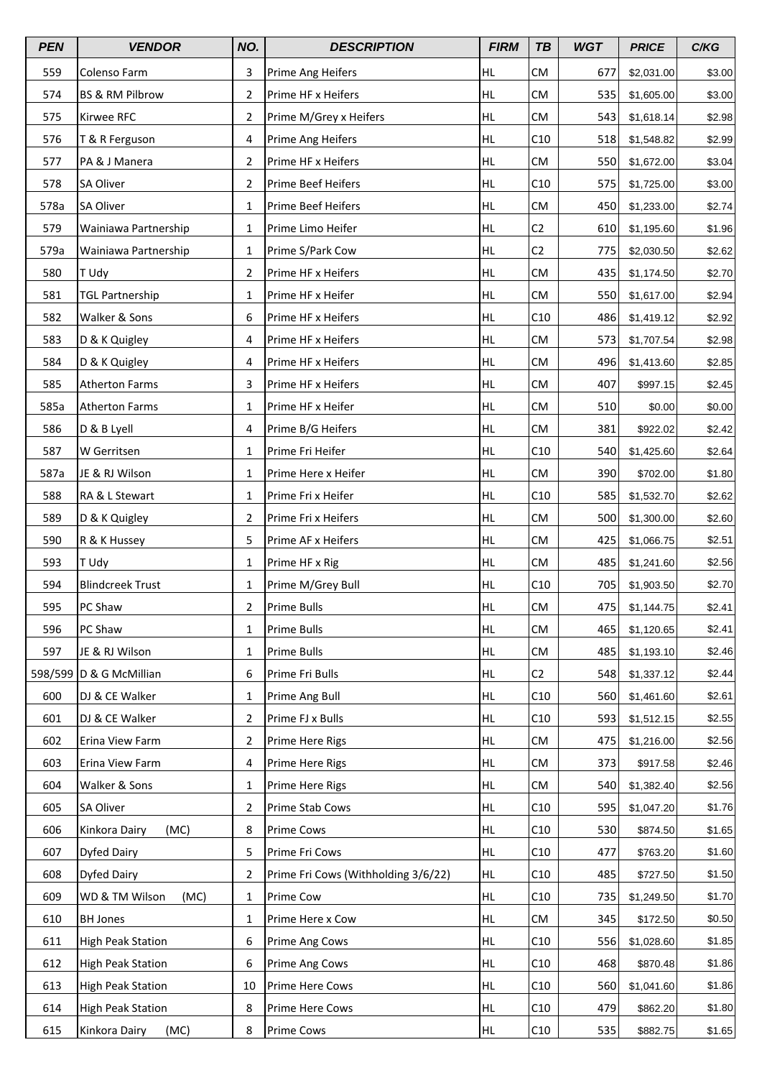| <b>PEN</b> | <b>VENDOR</b>            | NO. | <b>DESCRIPTION</b>                  | <b>FIRM</b> | <b>TB</b>       | <b>WGT</b> | <b>PRICE</b>   | C/KG   |
|------------|--------------------------|-----|-------------------------------------|-------------|-----------------|------------|----------------|--------|
| 559        | Colenso Farm             | 3   | Prime Ang Heifers                   | <b>HL</b>   | <b>CM</b>       | 677        | \$2,031.00     | \$3.00 |
| 574        | BS & RM Pilbrow          | 2   | Prime HF x Heifers                  | <b>HL</b>   | <b>CM</b>       | 535        | \$1,605.00     | \$3.00 |
| 575        | Kirwee RFC               | 2   | Prime M/Grey x Heifers              | HL          | CM              | 543        | \$1,618.14     | \$2.98 |
| 576        | T & R Ferguson           | 4   | Prime Ang Heifers                   | <b>HL</b>   | C10             | 518        | \$1,548.82     | \$2.99 |
| 577        | PA & J Manera            | 2   | Prime HF x Heifers                  | <b>HL</b>   | <b>CM</b>       | 550        | \$1,672.00     | \$3.04 |
| 578        | SA Oliver                | 2   | <b>Prime Beef Heifers</b>           | HL          | C10             | 575        | \$1,725.00     | \$3.00 |
| 578a       | <b>SA Oliver</b>         | 1   | Prime Beef Heifers                  | <b>HL</b>   | <b>CM</b>       | 450        | \$1,233.00     | \$2.74 |
| 579        | Wainiawa Partnership     | 1   | Prime Limo Heifer                   | HL          | C <sub>2</sub>  | 610        | \$1,195.60     | \$1.96 |
| 579a       | Wainiawa Partnership     | 1   | Prime S/Park Cow                    | <b>HL</b>   | C2              | 775        | \$2,030.50     | \$2.62 |
| 580        | T Udy                    | 2   | Prime HF x Heifers                  | HL          | <b>CM</b>       | 435        | \$1,174.50     | \$2.70 |
| 581        | <b>TGL Partnership</b>   | 1   | Prime HF x Heifer                   | HL          | CM              | 550        | \$1,617.00     | \$2.94 |
| 582        | Walker & Sons            | 6   | Prime HF x Heifers                  | <b>HL</b>   | C10             | 486        | \$1,419.12     | \$2.92 |
| 583        | D & K Quigley            | 4   | Prime HF x Heifers                  | HL          | CM              | 573        | \$1,707.54     | \$2.98 |
| 584        | D & K Quigley            | 4   | Prime HF x Heifers                  | <b>HL</b>   | <b>CM</b>       | 496        | \$1,413.60     | \$2.85 |
| 585        | <b>Atherton Farms</b>    | 3   | Prime HF x Heifers                  | HL          | CM              | 407        | \$997.15       | \$2.45 |
| 585a       | <b>Atherton Farms</b>    | 1   | Prime HF x Heifer                   | HL          | CM              | 510        | \$0.00         | \$0.00 |
| 586        | D & B Lyell              | 4   | Prime B/G Heifers                   | <b>HL</b>   | CM              | 381        | \$922.02       | \$2.42 |
| 587        | W Gerritsen              | 1   | Prime Fri Heifer                    | HL          | C10             | 540        | \$1,425.60     | \$2.64 |
| 587a       | JE & RJ Wilson           | 1   | Prime Here x Heifer                 | HL          | <b>CM</b>       | 390        | \$702.00       | \$1.80 |
| 588        | RA & L Stewart           | 1   | Prime Fri x Heifer                  | <b>HL</b>   | C10             | 585        | \$1,532.70     | \$2.62 |
| 589        | D & K Quigley            | 2   | Prime Fri x Heifers                 | HL          | <b>CM</b>       | 500        | \$1,300.00     | \$2.60 |
| 590        | R & K Hussey             | 5   | Prime AF x Heifers                  | <b>HL</b>   | CM              | 425        | \$1,066.75     | \$2.51 |
| 593        | T Udy                    | 1   | Prime HF x Rig                      | HL          | CM              | 485        | \$1,241.60     | \$2.56 |
| 594        | <b>Blindcreek Trust</b>  | 1   | Prime M/Grey Bull                   | HL          | C10             | 705        | \$1,903.50     | \$2.70 |
| 595        | PC Shaw                  | 2   | Prime Bulls                         | <b>HL</b>   | ${\sf CM}$      |            | 475 \$1,144.75 | \$2.41 |
| 596        | PC Shaw                  | 1   | <b>Prime Bulls</b>                  | HL          | CM              | 465        | \$1,120.65     | \$2.41 |
| 597        | JE & RJ Wilson           | 1   | Prime Bulls                         | <b>HL</b>   | CM              | 485        | \$1,193.10     | \$2.46 |
| 598/599    | D & G McMillian          | 6   | Prime Fri Bulls                     | HL          | C <sub>2</sub>  | 548        | \$1,337.12     | \$2.44 |
| 600        | DJ & CE Walker           | 1   | Prime Ang Bull                      | HL          | C10             | 560        | \$1,461.60     | \$2.61 |
| 601        | DJ & CE Walker           | 2   | Prime FJ x Bulls                    | HL          | C10             | 593        | \$1,512.15     | \$2.55 |
| 602        | Erina View Farm          | 2   | Prime Here Rigs                     | HL          | CM              | 475        | \$1,216.00     | \$2.56 |
| 603        | Erina View Farm          | 4   | Prime Here Rigs                     | HL          | CM              | 373        | \$917.58       | \$2.46 |
| 604        | Walker & Sons            | 1   | Prime Here Rigs                     | HL          | CM              | 540        | \$1,382.40     | \$2.56 |
| 605        | SA Oliver                | 2   | Prime Stab Cows                     | HL          | C10             | 595        | \$1,047.20     | \$1.76 |
| 606        | Kinkora Dairy<br>(MC)    | 8   | <b>Prime Cows</b>                   | HL          | C10             | 530        | \$874.50       | \$1.65 |
| 607        | Dyfed Dairy              | 5   | Prime Fri Cows                      | HL          | C10             | 477        | \$763.20       | \$1.60 |
| 608        | Dyfed Dairy              | 2   | Prime Fri Cows (Withholding 3/6/22) | HL          | C10             | 485        | \$727.50       | \$1.50 |
| 609        | WD & TM Wilson<br>(MC)   | 1   | Prime Cow                           | HL          | C <sub>10</sub> | 735        | \$1,249.50     | \$1.70 |
| 610        | <b>BH Jones</b>          | 1   | Prime Here x Cow                    | HL          | CM              | 345        | \$172.50       | \$0.50 |
| 611        | <b>High Peak Station</b> | 6   | Prime Ang Cows                      | HL          | C10             | 556        | \$1,028.60     | \$1.85 |
| 612        | <b>High Peak Station</b> | 6   | Prime Ang Cows                      | HL          | C10             | 468        | \$870.48       | \$1.86 |
| 613        | <b>High Peak Station</b> | 10  | Prime Here Cows                     | HL          | C10             | 560        | \$1,041.60     | \$1.86 |
| 614        | <b>High Peak Station</b> | 8   | Prime Here Cows                     | HL          | C10             | 479        | \$862.20       | \$1.80 |
| 615        | Kinkora Dairy<br>(MC)    | 8   | <b>Prime Cows</b>                   | HL          | C10             | 535        | \$882.75       | \$1.65 |